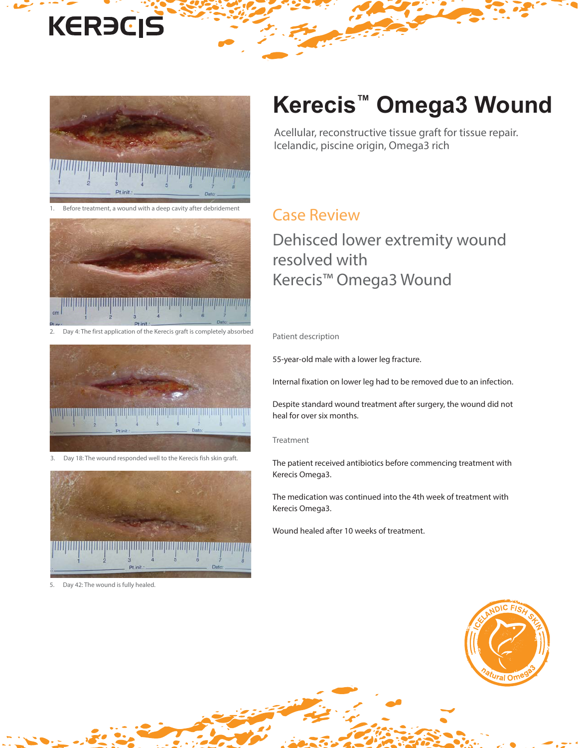# **KERECIS**



Before treatment, a wound with a deep cavity after debridement



Day 4: The first application of the Kerecis graft is completely absorbed



Day 18: The wound responded well to the Kerecis fish skin graft.



5. Day 42: The wound is fully healed.

## **Kerecis™ Omega3 Wound**

Acellular, reconstructive tissue graft for tissue repair. Icelandic, piscine origin, Omega3 rich

#### Case Review

### Dehisced lower extremity wound resolved with Kerecis™ Omega3 Wound

Patient description

55-year-old male with a lower leg fracture.

Internal fixation on lower leg had to be removed due to an infection.

Despite standard wound treatment after surgery, the wound did not heal for over six months.

#### Treatment

The patient received antibiotics before commencing treatment with Kerecis Omega3.

The medication was continued into the 4th week of treatment with Kerecis Omega3.

Wound healed after 10 weeks of treatment.